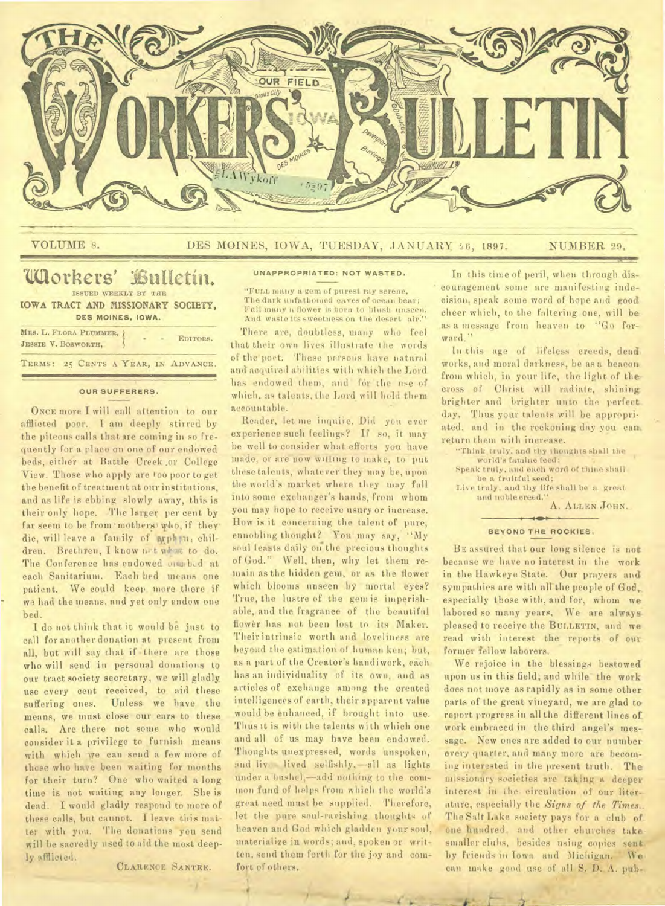

# VOLUME 8. DES MOINES, IOWA, TUESDAY, JANUARY 26, 1897. NUMBER 29.

# **Workers' kulletin.**  ISSUED WEEKLY BY THE

IOWA TRACT AND MISSIONARY SOCIETY, **DES MOINES, IOWA.** 

| MES. L. FLORA PLUMMER, )<br>JESSIE V. BOSWORTH, |  | EDITORS. |
|-------------------------------------------------|--|----------|
| TERMS: 25 CENTS A YEAR, IN ADVANCE.             |  |          |

### **OUR SUFFERERS.**

ONCE more I will call attention to our afflicted poor. I am deeply stirred by the piteous calls that are coming in so frequently fora place on one of our endowed beds, either at Battle Creek .or College View. Those who,apply are too poor to get the benefit of treatment at our institutions, and as life is ebbing slowly away, this is their only hope. The larger per cent by far seem to be from mothers who, if they die, will leave a family of prph m, children. Brethren, I know net what to do. The Conference has endowed orached at each Sanitarium. Each bed means one patient. We could keep more there if we had the means, and yet only endow one bed.

I do not think that it would be just to call for another donation at present from all, but will say that if there are those who will send in personal donations to our tract society secretary, we will gladly. use every cent received, to aid these suffering ones. Unless we have the means, we must close our ears to these calls. Are there not some who would consider it a privilege to furnish means with which we can send a few more of those who have been waiting for months for their turn? One who waited a long time is not waiting any longer. She is dead. I would gladly respond to more of these calls, but cannot. I leave this matter with you. The donations you send will be sacredly used to aid the most deeply afflicted.

CLARENCE SA NTEE.

**4** 

#### **UNAPPROPRIATED: NOT WASTED.**

. "FULL many a gem of purest ray serene, The dark unfathomed caves of ocean bear; Fall many a flower is born to blush. unseen, And waste its sweetness on the desert air.'

There are, doubtless, many who feel that their own lives illustrate the words of the poet. These persons have natural and acquired abilities with which the Lord has endowed them, and for the use of which, as talents, the Lord will hold them accountable.

Reader, let me inquire, Did you ever experience such feelings? If so, it may be well to consider what efforts you have made, or are now willing to make, to put these talents, whatever they may.be, upon the world's market where they may fall into some exchanger's hands, from whom you may hope to receive usury or increase. How is it concerning-the talent of pure, ennobling thought? You' may say, "My soul feasts daily on the precious thoughts of God." Well, then, why let them remain as the hidden gem, or as the flower which blooms unseen by mortal eyes? True, the lustre of the gem is imperishable, and the fragrance of the beautiful flower has not been lost to its Maker. Their intrinsic worth and loveliness are beyond the estimation of human ken; but, as a part of the Creator's handiwork, each has an individuality of its own, and as articles of exchange among the created intelligences of earth, their apparent value would be enhanced, if brought into use. Thus it is with the talents wi th which one and all of us may have been endowed. Thoughts unexpressed, words unspoken, and liv. lived selfishly, -all as lights under a bushel,—add nothing to the common fund of helps from which the world's great need must be 'supplied. Therefore, let the pure soul-ravishing thoughts of heaven and God which gladden your soul, materialize in words; and, spoken or written, send them forth for the joy and comfort of others.

In this time of peril, when through discouragement some are manifesting indecision, speak some word of hope and good cheer which, to the faltering one, will be as a message from heaven to "Go forward."

In this age of lifeless creeds, dead: works, and moral darkness, be as a beacon, from which, in your life, the light of the cross of Christ will radiate, shining brighter and brighter unto the perfect. day. Thus your talents will be appropriated, and in the reckoning day you can. return them with increase.

"Think truly. and thy thoughts shall the world's famine feed; Speak truly, and each word of thine shall

be a fruitful seed:

Live truly, and thy life shall be a great and noble creed."

A. ALLEN JOHN.\_

#### **BEYOND THE ROCKIES.**

BE assured that our long silence is not. because we have no interest in the work in the llawkeye State. Our prayers and sympathies are with all the people of God. especially those with, and for, whom we labored so many years. We are always pleased to receive the BULLETIN, and we read with interest the reports of our former fellow laborers.

We rejoice in the blessings bestowed upon us in this field; and while the work does not move as rapidly as in some other parts of the great vineyard, we are glad to report progress in all the different lines of. work embraced in the third angel's message. New ones are added to our number every quarter, and many more are becoming interested in the present truth. The missionary societies are taking a deeper interest in the. circulation of our literature, especially the *Signs of the Times..*  The Salt Lake society pays for a club of one hundred, and other churches takesmaller clubs, besides using copies sent. by friends in Iowa and Michigan. We can make good use of. all S. D. A. pub-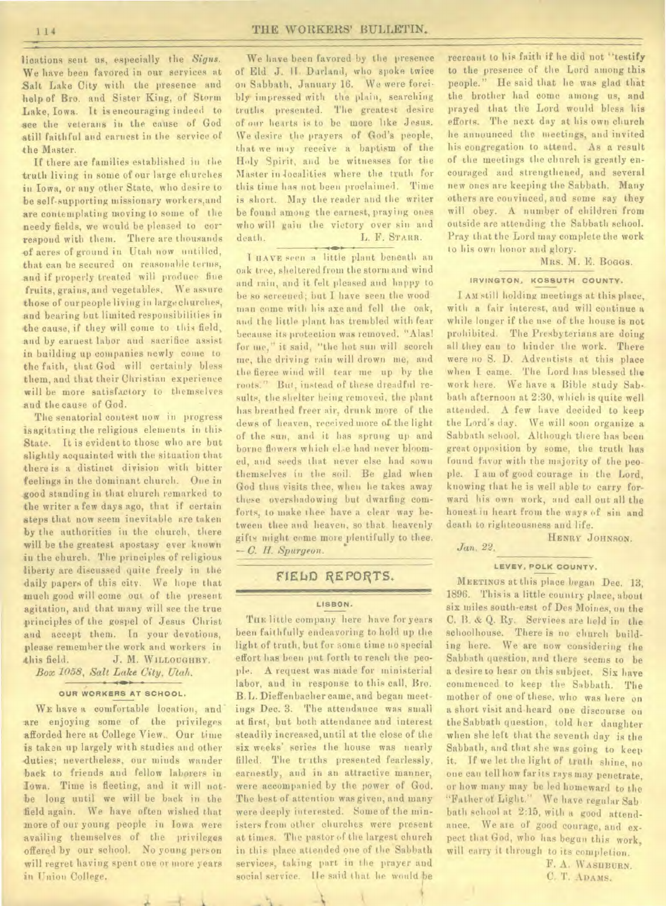lications sent us, especially *the Signs.*  We have been favored in our services at Salt Lake City with the presence and help of Bro. and Sister King, of Storm Lake, Iowa. It is encouraging indeed to see the veterans in the cause of God still faithful and earnest in the service of the Master.

If there are families established in the truth living in some of our large churches *in* Iowa, or any other State, who desire to be self-supporting missionary workers,and are contemplating moving to some of the needy fields, we would be pleased to correspond with them. There are thousands **of** acres of ground in Utah now untilled, that can be secured on reasonable terms, and if properly treated will produce fine **fruits,** grains, and vegetables, We assure those of ourpeople living in largechurehes, and bearing but limited responsibilities in the cause, if they will come to this field, and by earnest labor and sacrifice assist in building up companies newly come to the faith, that God will certainly bless them, and that their Christian experience will be more satisfactory to themselves and the cause of God.

The senatorial contest now in progress isagitating the religious elements in this State. It is evident to those who are but slightly acquainted with the situation that there is a distinct division with bitter feelings in the dominant church. One in good standing in that church remarked to the writer a few days ago, that if certain steps that now seem inevitable are taken by the authorities in the church, there will be the greatest apostasy ever known in the church. The principles of religious liberty are discussed quite freely in the daily papers of this city. We hope that much good will come out of the present agitation, and that many will see the true principles of the gospel of Jesus Christ and accept them. In your devotions, please remember the work and workers in this field. **J. M. WILLOUGHBY.** 

*Box 1058, Salt Lake City, Utah.* 

## **OUR WORKERS AT SCHOOL.**

WE have a comfortable location, and are enjoying some of the privileges afforded here at College View.. Our time is taken up largely with studies and other duties; nevertheless, our minds wander back to friends and fellow laborers in Iowa. Time is fleeting, and it will notbe long until we will be back in the field again. We have often wished that more of our young people in Iowa were availing themselves of the privileges offered by our school. No young person will regret having spent one or more years in Union College.

We have been favored by the presence of Eld. J. **II. Darlanii,** who spoke twice on Sabbath, January 16. We were forcibly impressed with the plain, searching truths presented. The greatest desire of our hearts is to be more like Jesus. We desire the prayers of God's people, that we may receive a baptism of the Holy Spirit, and be witnesses for the Master in localities where the truth for this time has not been proclaimed. Time is short. May the reader and the writer be found among the earnest, praying ones who will gain the victory over sin and death. L. F. STARR.

T IIAVE *seen* a little plant beneath an oak tree, sheltered from the storm and wind *and* rain, and it felt pleased and happy to be so screened; but I have seen the wood man come with his axe and fell the oak, and the little plant has trembled with fear beeause its protection was removed. "Alas! for me," it said, "the hot sun will scorch me, the driving rain will drown me, and the fierce wind will tear me up by the roots." But, instead of these dreadful results, the shelter being removed, the plant has breathed freer air, drunk more of the dews of heaven, received more of the light of the sun, and it has sprung up and borne flowers which el.e had never bloomed, and seeds that never else had sown themselves iu the soil. Be glad when God thus visits thee, when he takes away these overshadowing but dwarfing comforts, to make thee have a clear way between thee and heaven, so that heavenly gifts might come more plentifully to thee. 11. Spurgeon.

# FIELD REPORTS.

## **LISBON.**

THE little company here have for years been faithfully endeavoring to hold up the light of truth, but for some time no special effort has been put forth to reach the people. A request was made for ministerial labor, and in response to this call, Bro. B. L. Dieffenbacher came, and began meetings Dec. 3. The attendance was small at first, but both attendance and interest steadily increased, until at the close of the six weeks' series the house was nearly filled. The truths presented fearlessly, earnestly, and in an attractive manner, were accompanied by the power of God. The best of attention was given, and many were deeply interested. Some of the ministers from other churches were present at times. The pastor of the largest church in this place attended one of the Sabbath services, taking part in the prayer and social service. Ile said that he would be

recreant to his faith if he did not "testify to the presence of the Lord among this people." He said that he was glad that the brother had come among us, and prayed that the Lord would bless his efforts. The next day at his own church he announced the meetings, and invited his congregation to attend. As a result of the meetings the church is greatly encouraged and strengthened, and several new ones are keeping the Sabbath. Many others are convinced, and some say they will obey. A number of children from outside are attending the Sabbath school. Pray that the Lord may complete the work to his own honor and glory.

MRS. M. E. Boggs.

#### **IRVINGTON, KOSSUTH COUNTY.**

I AM still holding meetings at this place, with a fair interest, and will continue a while longer if the use of the house is not prohibited. The Presbyterians are doing all they can to hinder the work. There were no S. D. Adventists at this place when I came. The Lord has blessed the work here. We have a Bible study Sabbath afternoon at 2:30, which is quite well attended. A few have decided to keep the Lord's day. We will soon organize a Sabbath school. Although there has been great opposition by some, the truth has found favor with the majority of the people. I am of good courage in the Lord, knowing that he is well able to carry forward his own work, and call out all the honest in heart from the *ways* of sin and death to righteousness and life.

HENRY JOHNSON. *Jan. 22.* 

#### **LEVEY. POLK COUNTY.**

MEETINGS at this place began Dec. 13, 1896. This is a little country place, about six miles south-east of Des Moines, on the C. B. & Q. Ry. Services are held in *the*  schoolhouse. There is no church building here. We are now considering the Sabbath question, and there seems to be a desire to hear on this subject. Six have commenced to keep the Sabbath. The mother of one of these, who was here on a short visit and heard one discourse on the Sabbath question, told her daughter when she left that the seventh day is the Sabbath, and that she was going to keep it. If we let the light of truth shine, no one can tell how far its rays may penetrate, or how many may be led homeward to the "Father of Light." We have regular Sab. bath school at 2:15, with a good attendance. We are of good courage, and expect that God, who has begun this work, will carry it through to its completion.

> F. A. WASHBURN. C. T. ADAMS.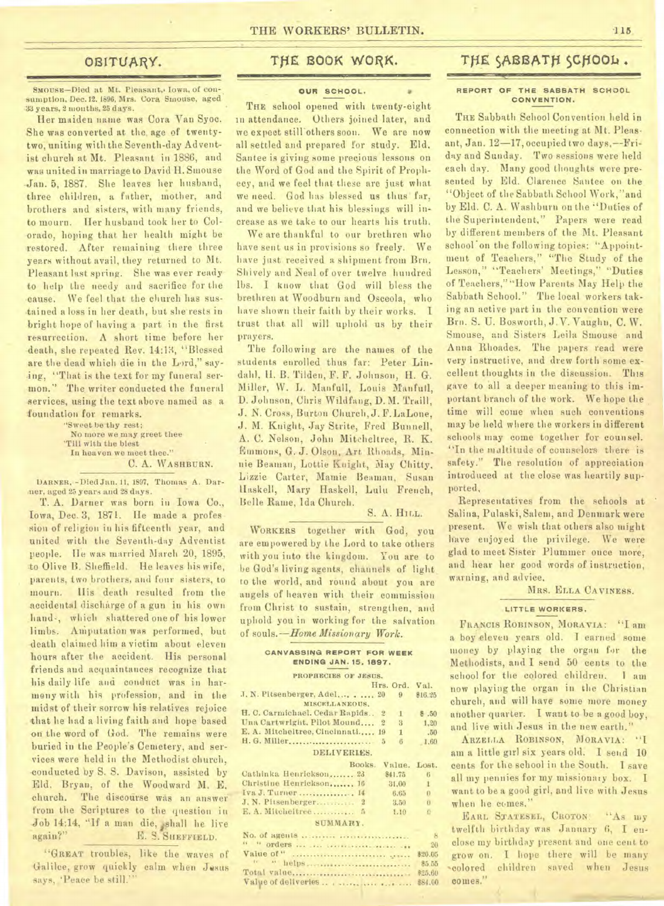# OBITUARY.

SMOUSE-Died at Mt. Pleasant, Iowa, of consumption, Dec.12.1896, Mrs. Cora Smouse, aged 33 years, 2 months, 25 days.

Her maiden name was Cora Van Syoc. She **was** converted at the, age of twentytwo, uniting with the Seventh-day Adventist church at Mt. Pleasant in 1886, and was united in marriage to David H. Smouse -Jan. 5, 1887. She leaves her husband, three children, a father, mother, and brothers and sisters, with many friends, to mourn. Her husband took her to Col- -orado, hoping that her health might be restored. After remaining there three years without avail, they returned to Mt. Pleasant last spring. She was ever ready to help the needy and sacrifice for the -cause. We feel that the church has sustained a loss in her death, but she'rests in bright hope of having a part in the first resurrection. A short time before her death, she repeated Rev. 14:13, "Blessed are the dead which die in the Lord," saying, "That is the text for my funeral sermon." The writer conducted the funeral services, using the text above named as a foundation for remarks.

> "Sweet be thy rest; No more we may greet thee 'Till with the blest In heaven we meet thee." C. A. WASHBURN.

DARNER.--Died Jan. 11, 1897, Thomas A. Dar ner, aged 25 years and 28 days.

T. A. Darner was born in Iowa Co., Iowa, Dec. 3, 1871. He made a profes sion of religion in his fifteenth year, and united with the Seventh-day Adventist people. He was married March 20, 1895, to Olive B. Sheffield. He leaves his wife, parents, two brothers, and four sisters, to mourn. His death resulted from the Accidental discharge of a gun in his own hand,, which shattered one of his lower limbs. Amputation was performed, but death claimed him a victim about eleven hours after the accident. His personal friends and acquaintances recognize that his daily life and conduct was in harmony with his profession, and in the midst of their sorrow his relatives rejoice that he had a living faith and hope based on the word of God. The remains were buried in the People's Cemetery, and services were held in the Methodist church, conducted by S. *S.* Davison, assisted by Eld. Bryan, of the Woodward M. E. church. The discourse was an answer from the Scriptures to the question in. Job 14:14, "If a man die, shall he live again?" E. S. SHEFFIELD.

"GREAT troubles, like the waves of Galilee, grow quickly calm when Jesus says, 'Peace be still.'

# THE BOOK WORK.

## **OUR SCHOOL.**

THE school opened with twenty-eight in attendance. Others joined later, and we expect still others soon. We are now all settled and prepared for study. Eld. Santee is giving some precious lessons on the Word of God and the Spirit of Prophecy, and we feel that these are just what we need. God has blessed us thus' far, and we believe that his blessings will increase as we take to our hearts his truth.

We are thankful to our brethren who have sent us in provisions so freely. We have just received a shipment from Bra. Shively and Neal of over twelve hundred lbs. I know that God will bless the brethren at Woodburn and Osceola, who have shown their faith by their works. I trust that all will uphold us by their prayers.

The following are the names of the students enrolled thus far: Peter Lindahl, H. B. Tilden, F. F. Johnson, H. G. Miller, W. L. Manfull, Louis Manfull, D. Johnson, Chris Wildfang, D. M. Trail!, J. N. CrOss, Burton Church, J. F. LaLone, J. M. Knight, Jay Strite, Fred Bunnell, A. C. Nelson, John Mitcheltree, R. K. Emmons, G. J. Olson, Art Rhoads, Minnie Beaman, Lottie Knight, May Chitty, Lizzie Carter, Mamie Beaman, Susan Haskell, Mary Haskell, Lulu French, Belle Rame, Ida Church.

S. A. HILL.

WORKERS together with God, you are empowered by the Lord to take others with you into the kingdom. You are to be God's living agents, channels of light. to the world, and round about you are angels of heaven with their commission from Christ to sustain, strengthen, and uphold you in working for the salvation of souls. *—Home Missionary Work.* 

#### **CANVASSING REPORT FOR WEEK ENDING JAN. 15. 1897.**

| PROPHECIES OF JESUS.             |             |                       |              |
|----------------------------------|-------------|-----------------------|--------------|
|                                  |             | Hrs. Ord.             | Val.         |
| J. N. Pitsenberger, Adel 20      |             | $\boldsymbol{\Omega}$ | \$16.25      |
| MISCELLANEOUS.                   |             |                       |              |
| H. C. Carmichael. Cedar Rapids 2 |             | $\mathbf{I}$          | \$.50        |
| Una Cartwright, Pilot Mound 2    |             | 3                     | 1,20         |
| E. A. Mitcheltree, Cincinnati 19 |             | 1                     | .50          |
|                                  |             | 6                     | 1.60         |
|                                  | DELIVERIES. |                       |              |
|                                  |             |                       |              |
|                                  | Books.      | Value.                | Lost.        |
| Cathinka Henrickson 23           |             | 841.75                | 6            |
| Christine Henrickson 16          |             | 31.00                 | $\mathbf{1}$ |
| Iva J. Turner 14                 |             | 6.65                  | $\Omega$     |
| J. N. Pitsenberger 2             |             | 3.50                  | $\theta$     |
| E. A. Mitcheltree 5              |             | 1.10                  | $\Omega$     |
| SUMMARY.                         |             |                       |              |
| No. of agents                    |             |                       |              |

#### " " orders <sup>20</sup> Value of " \$20.05 '• " helps \$5.56 Total value \$25.60 Valve of deliveries . ........... 884.00

# THE SABBATH SCHOOL.

#### **REPORT OF THE SABBATH SCHOOL CONVENTION.**

THE Sabbath School Convention held in connection with the meeting at Mt. Pleasant, Jan. 12-17, occupied two days, -- Friday and Sunday. Two sessions were held each day. Many good thoughts were presented by Eld. Clarence Santee on the "Object of the Sabbath School Work,"and by Eld. C. A. Washburn ou the "Duties of the Superintendent." Papers were read by different members of the Mt. Pleasant school on the following topics: "Appointment of Teachers," "The Study of the Lesson," 'Teachers' Meetings," "Duties of Teachers,""How Parents May Help the Sabbath School." The local workers taking an active part in the convention were Brn. S. U. Bosworth, J.V. Vaughn, C. W. Smouse, and Sisters Leila Smouse and Anna Rhoades. The papers read were *very* instructive, and drew forth some excellent thoughts in the discussion. This gave to all a deeper meaning to this important branch of the work. We hope the time will come when such conventions may be held where the workers in different schools may come together for counsel. "In the nialtitude of counselors there is safety." The resolution of appreciation introduced at the close was heartily supported,

Representatives from the schools at Salina, Pulaski, Salem, and Denmark were present. We wish that others also might have enjoyed the privilege. We were glad to meet Sister Plummer once more, and hear her good words of instruction, warning, and advice,

MRS. ELLA CAVINESS.

## **-LITTLE** WORKERS.

FRANCIS ROBINSON, MORAVIA: "I am a boy eleven years old. I earned some money by playing the organ for the Methodists, and I send 50 cents to the school for the colored children. I am now playing the organ in the Christian church, and will have some more money another quarter. I want to be a good boy, and live with Jesus in the new earth."

ARZELLA ROBINSON, MORAVIA: "I am a little girl six years old. I send 10 cents for the school in the South. I save all my pennies for my missionary box. I want to be a good girl, and live with Jesus when he comes."

EARL STATESEL, CROTON: "As my twelfth birthday was January 6, I enclose my birthday present and one cent to grow on. I hope there will be many colored children saved when Jesus comes."